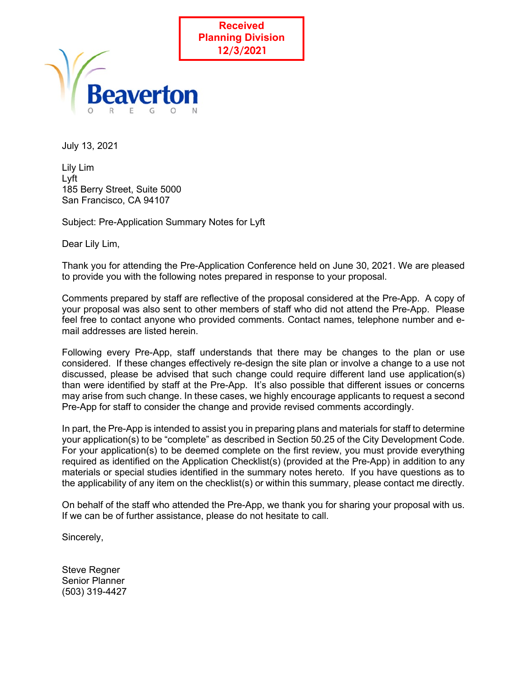



July 13, 2021

Lily Lim Lyft 185 Berry Street, Suite 5000 San Francisco, CA 94107

Subject: Pre-Application Summary Notes for Lyft

Dear Lily Lim,

Thank you for attending the Pre-Application Conference held on June 30, 2021. We are pleased to provide you with the following notes prepared in response to your proposal.

Comments prepared by staff are reflective of the proposal considered at the Pre-App. A copy of your proposal was also sent to other members of staff who did not attend the Pre-App. Please feel free to contact anyone who provided comments. Contact names, telephone number and email addresses are listed herein.

Following every Pre-App, staff understands that there may be changes to the plan or use considered. If these changes effectively re-design the site plan or involve a change to a use not discussed, please be advised that such change could require different land use application(s) than were identified by staff at the Pre-App. It's also possible that different issues or concerns may arise from such change. In these cases, we highly encourage applicants to request a second Pre-App for staff to consider the change and provide revised comments accordingly.

In part, the Pre-App is intended to assist you in preparing plans and materials for staff to determine your application(s) to be "complete" as described in Section 50.25 of the City Development Code. For your application(s) to be deemed complete on the first review, you must provide everything required as identified on the Application Checklist(s) (provided at the Pre-App) in addition to any materials or special studies identified in the summary notes hereto. If you have questions as to the applicability of any item on the checklist(s) or within this summary, please contact me directly.

On behalf of the staff who attended the Pre-App, we thank you for sharing your proposal with us. If we can be of further assistance, please do not hesitate to call.

Sincerely,

Steve Regner Senior Planner (503) 319-4427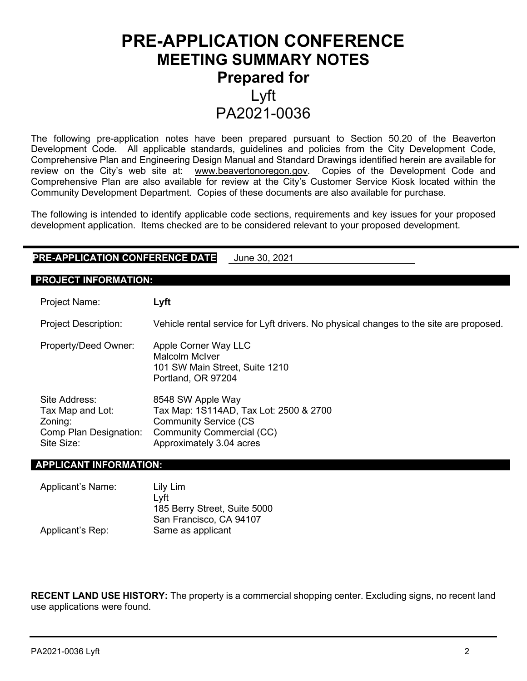# **PRE-APPLICATION CONFERENCE MEETING SUMMARY NOTES Prepared for**  Lyft PA2021-0036

The following pre-application notes have been prepared pursuant to Section 50.20 of the Beaverton Development Code. All applicable standards, guidelines and policies from the City Development Code, Comprehensive Plan and Engineering Design Manual and Standard Drawings identified herein are available for review on the City's web site at: [www.beavertonoregon.gov.](http://www.beavertonoregon.gov/) Copies of the Development Code and Comprehensive Plan are also available for review at the City's Customer Service Kiosk located within the Community Development Department. Copies of these documents are also available for purchase.

The following is intended to identify applicable code sections, requirements and key issues for your proposed development application. Items checked are to be considered relevant to your proposed development.

## **PRE-APPLICATION CONFERENCE DATE** June 30, 2021

#### **PROJECT INFORMATION:**

Project Name: **Lyft**

| <b>Project Description:</b>                                                          | Vehicle rental service for Lyft drivers. No physical changes to the site are proposed.                                                                       |
|--------------------------------------------------------------------------------------|--------------------------------------------------------------------------------------------------------------------------------------------------------------|
| Property/Deed Owner:                                                                 | Apple Corner Way LLC<br>Malcolm McIver<br>101 SW Main Street, Suite 1210<br>Portland, OR 97204                                                               |
| Site Address:<br>Tax Map and Lot:<br>Zoning:<br>Comp Plan Designation:<br>Site Size: | 8548 SW Apple Way<br>Tax Map: 1S114AD, Tax Lot: 2500 & 2700<br><b>Community Service (CS)</b><br><b>Community Commercial (CC)</b><br>Approximately 3.04 acres |

#### **APPLICANT INFORMATION:**

| Applicant's Name: | Lily Lim<br>Lvft             |
|-------------------|------------------------------|
|                   | 185 Berry Street, Suite 5000 |
|                   | San Francisco, CA 94107      |
| Applicant's Rep:  | Same as applicant            |

**RECENT LAND USE HISTORY:** The property is a commercial shopping center. Excluding signs, no recent land use applications were found.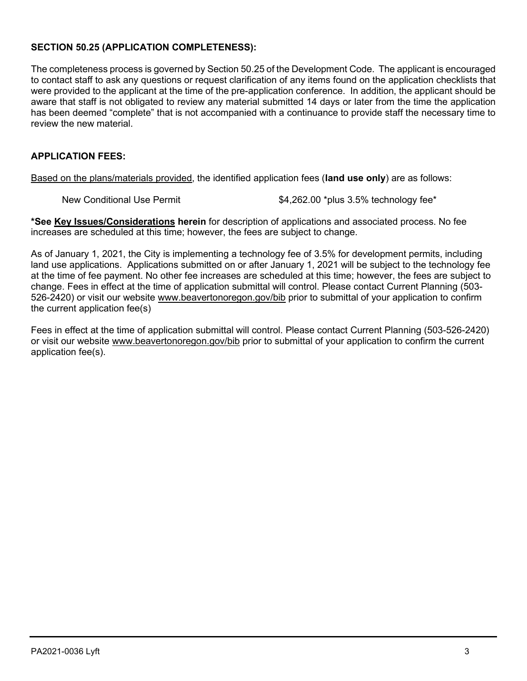## **SECTION 50.25 (APPLICATION COMPLETENESS):**

The completeness process is governed by Section 50.25 of the Development Code. The applicant is encouraged to contact staff to ask any questions or request clarification of any items found on the application checklists that were provided to the applicant at the time of the pre-application conference. In addition, the applicant should be aware that staff is not obligated to review any material submitted 14 days or later from the time the application has been deemed "complete" that is not accompanied with a continuance to provide staff the necessary time to review the new material.

#### **APPLICATION FEES:**

Based on the plans/materials provided, the identified application fees (**land use only**) are as follows:

New Conditional Use Permit  $$4,262.00$  \*plus 3.5% technology fee\*

**\*See Key Issues/Considerations herein** for description of applications and associated process. No fee increases are scheduled at this time; however, the fees are subject to change.

As of January 1, 2021, the City is implementing a technology fee of 3.5% for development permits, including land use applications. Applications submitted on or after January 1, 2021 will be subject to the technology fee at the time of fee payment. No other fee increases are scheduled at this time; however, the fees are subject to change. Fees in effect at the time of application submittal will control. Please contact Current Planning (503- 526-2420) or visit our website [www.beavertonoregon.gov/bib](http://www.beavertonoregon.gov/bib) prior to submittal of your application to confirm the current application fee(s)

Fees in effect at the time of application submittal will control. Please contact Current Planning (503-526-2420) or visit our website [www.beavertonoregon.gov/bib](http://www.beavertonoregon.gov/bib) prior to submittal of your application to confirm the current application fee(s).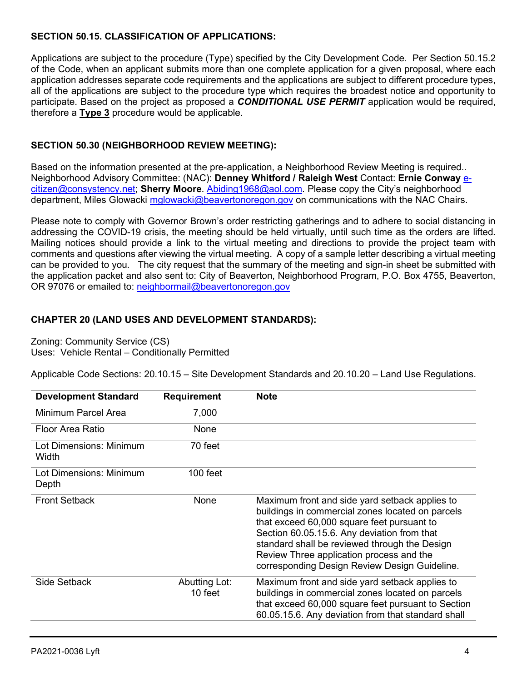## **SECTION 50.15. CLASSIFICATION OF APPLICATIONS:**

Applications are subject to the procedure (Type) specified by the City Development Code. Per Section 50.15.2 of the Code, when an applicant submits more than one complete application for a given proposal, where each application addresses separate code requirements and the applications are subject to different procedure types, all of the applications are subject to the procedure type which requires the broadest notice and opportunity to participate. Based on the project as proposed a *CONDITIONAL USE PERMIT* application would be required, therefore a **Type 3** procedure would be applicable.

## **SECTION 50.30 (NEIGHBORHOOD REVIEW MEETING):**

Based on the information presented at the pre-application, a Neighborhood Review Meeting is required.. Neighborhood Advisory Committee: (NAC): **Denney Whitford / Raleigh West** Contact: **Ernie Conway** [e](mailto:e-citizen@consystency.net)[citizen@consystency.net;](mailto:e-citizen@consystency.net) **Sherry Moore**. [Abiding1968@aol.com.](mailto:Abiding1968@aol.com) Please copy the City's neighborhood department, Miles Glowacki [mglowacki@beavertonoregon.gov](file://COBNAS2/CDD$/Current%20Planning%20WG%209/PreApplications%20(FC-13-202)/CY%202021/PA2021-0036%20Lyft/mglowacki@beavertonoregon.gov) on communications with the NAC Chairs.

Please note to comply with Governor Brown's order restricting gatherings and to adhere to social distancing in addressing the COVID-19 crisis, the meeting should be held virtually, until such time as the orders are lifted. Mailing notices should provide a link to the virtual meeting and directions to provide the project team with comments and questions after viewing the virtual meeting. A copy of a sample letter describing a virtual meeting can be provided to you. The city request that the summary of the meeting and sign-in sheet be submitted with the application packet and also sent to: City of Beaverton, Neighborhood Program, P.O. Box 4755, Beaverton, OR 97076 or emailed to: [neighbormail@beavertonoregon.gov](mailto:neighbormail@beavertonoregon.gov)

#### **CHAPTER 20 (LAND USES AND DEVELOPMENT STANDARDS):**

Zoning: Community Service (CS) Uses: Vehicle Rental – Conditionally Permitted

Applicable Code Sections: 20.10.15 – Site Development Standards and 20.10.20 – Land Use Regulations.

| <b>Development Standard</b>      | <b>Requirement</b>       | <b>Note</b>                                                                                                                                                                                                                                                                                                                                   |
|----------------------------------|--------------------------|-----------------------------------------------------------------------------------------------------------------------------------------------------------------------------------------------------------------------------------------------------------------------------------------------------------------------------------------------|
| Minimum Parcel Area              | 7,000                    |                                                                                                                                                                                                                                                                                                                                               |
| Floor Area Ratio                 | None                     |                                                                                                                                                                                                                                                                                                                                               |
| Lot Dimensions: Minimum<br>Width | 70 feet                  |                                                                                                                                                                                                                                                                                                                                               |
| Lot Dimensions: Minimum<br>Depth | $100$ feet               |                                                                                                                                                                                                                                                                                                                                               |
| <b>Front Setback</b>             | None                     | Maximum front and side yard setback applies to<br>buildings in commercial zones located on parcels<br>that exceed 60,000 square feet pursuant to<br>Section 60.05.15.6. Any deviation from that<br>standard shall be reviewed through the Design<br>Review Three application process and the<br>corresponding Design Review Design Guideline. |
| <b>Side Setback</b>              | Abutting Lot:<br>10 feet | Maximum front and side yard setback applies to<br>buildings in commercial zones located on parcels<br>that exceed 60,000 square feet pursuant to Section<br>60.05.15.6. Any deviation from that standard shall                                                                                                                                |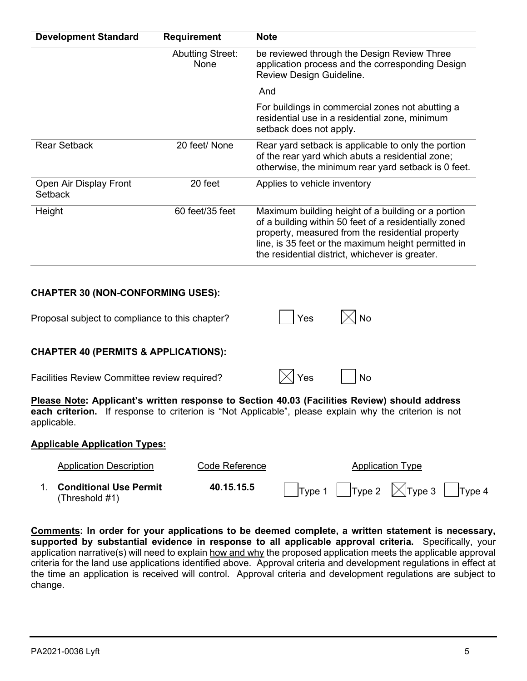| <b>Development Standard</b>              | <b>Requirement</b>              | <b>Note</b>                                                                                                                                                                                                                                                               |
|------------------------------------------|---------------------------------|---------------------------------------------------------------------------------------------------------------------------------------------------------------------------------------------------------------------------------------------------------------------------|
|                                          | <b>Abutting Street:</b><br>None | be reviewed through the Design Review Three<br>application process and the corresponding Design<br>Review Design Guideline.                                                                                                                                               |
|                                          |                                 | And                                                                                                                                                                                                                                                                       |
|                                          |                                 | For buildings in commercial zones not abutting a<br>residential use in a residential zone, minimum<br>setback does not apply.                                                                                                                                             |
| <b>Rear Setback</b>                      | 20 feet/ None                   | Rear yard setback is applicable to only the portion<br>of the rear yard which abuts a residential zone;<br>otherwise, the minimum rear yard setback is 0 feet.                                                                                                            |
| Open Air Display Front<br><b>Setback</b> | 20 feet                         | Applies to vehicle inventory                                                                                                                                                                                                                                              |
| Height                                   | 60 feet/35 feet                 | Maximum building height of a building or a portion<br>of a building within 50 feet of a residentially zoned<br>property, measured from the residential property<br>line, is 35 feet or the maximum height permitted in<br>the residential district, whichever is greater. |

| Proposal subject to compliance to this chapter? | $ Y$ es | $\boxtimes$ No |
|-------------------------------------------------|---------|----------------|
|                                                 |         |                |

## **CHAPTER 40 (PERMITS & APPLICATIONS):**

Facilities Review Committee review required?  $|\times|$  Yes  $|\cdot|$  No

|  | -- |
|--|----|
|--|----|

**Please Note: Applicant's written response to Section 40.03 (Facilities Review) should address each criterion.** If response to criterion is "Not Applicable", please explain why the criterion is not applicable.

#### **Applicable Application Types:**

| <b>Application Description</b>              | Code Reference | <b>Application Type</b>                                 |  |
|---------------------------------------------|----------------|---------------------------------------------------------|--|
| 1. Conditional Use Permit<br>(Threshold #1) | 40.15.15.5     | $\Box$ Type 1 $\Box$ Type 2 $\Box$ Type 3 $\Box$ Type 4 |  |

**Comments: In order for your applications to be deemed complete, a written statement is necessary, supported by substantial evidence in response to all applicable approval criteria.** Specifically, your application narrative(s) will need to explain how and why the proposed application meets the applicable approval criteria for the land use applications identified above. Approval criteria and development regulations in effect at the time an application is received will control. Approval criteria and development regulations are subject to change.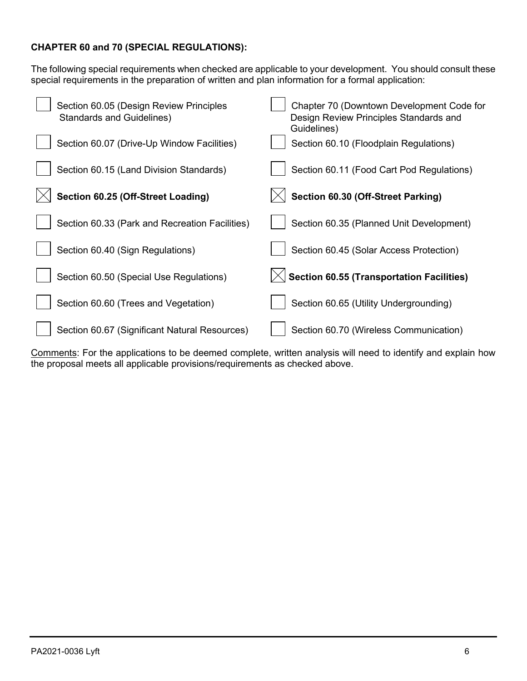## **CHAPTER 60 and 70 (SPECIAL REGULATIONS):**

The following special requirements when checked are applicable to your development. You should consult these special requirements in the preparation of written and plan information for a formal application:

| Section 60.05 (Design Review Principles<br><b>Standards and Guidelines)</b> | Chapter 70 (Downtown Development Code for<br>Design Review Principles Standards and<br>Guidelines) |
|-----------------------------------------------------------------------------|----------------------------------------------------------------------------------------------------|
| Section 60.07 (Drive-Up Window Facilities)                                  | Section 60.10 (Floodplain Regulations)                                                             |
| Section 60.15 (Land Division Standards)                                     | Section 60.11 (Food Cart Pod Regulations)                                                          |
| Section 60.25 (Off-Street Loading)                                          | Section 60.30 (Off-Street Parking)                                                                 |
| Section 60.33 (Park and Recreation Facilities)                              | Section 60.35 (Planned Unit Development)                                                           |
| Section 60.40 (Sign Regulations)                                            | Section 60.45 (Solar Access Protection)                                                            |
| Section 60.50 (Special Use Regulations)                                     | $\langle$ Section 60.55 (Transportation Facilities)                                                |
| Section 60.60 (Trees and Vegetation)                                        | Section 60.65 (Utility Undergrounding)                                                             |
| Section 60.67 (Significant Natural Resources)                               | Section 60.70 (Wireless Communication)                                                             |

Comments: For the applications to be deemed complete, written analysis will need to identify and explain how the proposal meets all applicable provisions/requirements as checked above.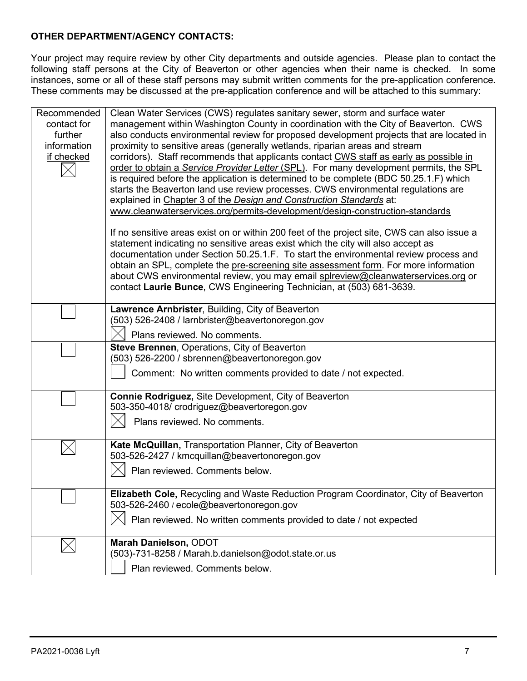#### **OTHER DEPARTMENT/AGENCY CONTACTS:**

Your project may require review by other City departments and outside agencies. Please plan to contact the following staff persons at the City of Beaverton or other agencies when their name is checked. In some instances, some or all of these staff persons may submit written comments for the pre-application conference. These comments may be discussed at the pre-application conference and will be attached to this summary:

| Recommended | Clean Water Services (CWS) regulates sanitary sewer, storm and surface water                                                                             |
|-------------|----------------------------------------------------------------------------------------------------------------------------------------------------------|
| contact for | management within Washington County in coordination with the City of Beaverton. CWS                                                                      |
| further     | also conducts environmental review for proposed development projects that are located in                                                                 |
| information | proximity to sensitive areas (generally wetlands, riparian areas and stream                                                                              |
| if checked  | corridors). Staff recommends that applicants contact CWS staff as early as possible in                                                                   |
|             | order to obtain a Service Provider Letter (SPL). For many development permits, the SPL                                                                   |
|             | is required before the application is determined to be complete (BDC 50.25.1.F) which                                                                    |
|             | starts the Beaverton land use review processes. CWS environmental regulations are<br>explained in Chapter 3 of the Design and Construction Standards at: |
|             | www.cleanwaterservices.org/permits-development/design-construction-standards                                                                             |
|             |                                                                                                                                                          |
|             | If no sensitive areas exist on or within 200 feet of the project site, CWS can also issue a                                                              |
|             | statement indicating no sensitive areas exist which the city will also accept as                                                                         |
|             | documentation under Section 50.25.1.F. To start the environmental review process and                                                                     |
|             | obtain an SPL, complete the pre-screening site assessment form. For more information                                                                     |
|             | about CWS environmental review, you may email splreview@cleanwaterservices.org or                                                                        |
|             | contact Laurie Bunce, CWS Engineering Technician, at (503) 681-3639.                                                                                     |
|             | Lawrence Arnbrister, Building, City of Beaverton                                                                                                         |
|             | (503) 526-2408 / larnbrister@beavertonoregon.gov                                                                                                         |
|             |                                                                                                                                                          |
|             | Plans reviewed. No comments.                                                                                                                             |
|             | Steve Brennen, Operations, City of Beaverton                                                                                                             |
|             | (503) 526-2200 / sbrennen@beavertonoregon.gov                                                                                                            |
|             | Comment: No written comments provided to date / not expected.                                                                                            |
|             | Connie Rodriguez, Site Development, City of Beaverton                                                                                                    |
|             | 503-350-4018/ crodriguez@beavertoregon.gov                                                                                                               |
|             | Plans reviewed. No comments.                                                                                                                             |
|             |                                                                                                                                                          |
|             | Kate McQuillan, Transportation Planner, City of Beaverton                                                                                                |
|             | 503-526-2427 / kmcquillan@beavertonoregon.gov                                                                                                            |
|             | Plan reviewed. Comments below.                                                                                                                           |
|             |                                                                                                                                                          |
|             | <b>Elizabeth Cole, Recycling and Waste Reduction Program Coordinator, City of Beaverton</b>                                                              |
|             | 503-526-2460 / ecole@beavertonoregon.gov                                                                                                                 |
|             | Plan reviewed. No written comments provided to date / not expected                                                                                       |
|             |                                                                                                                                                          |
|             | Marah Danielson, ODOT                                                                                                                                    |
|             | (503)-731-8258 / Marah.b.danielson@odot.state.or.us                                                                                                      |
|             | Plan reviewed. Comments below.                                                                                                                           |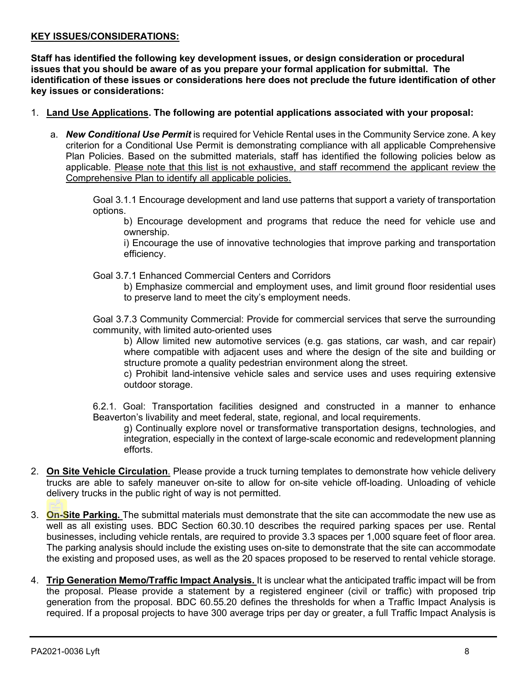#### **KEY ISSUES/CONSIDERATIONS:**

**Staff has identified the following key development issues, or design consideration or procedural issues that you should be aware of as you prepare your formal application for submittal. The identification of these issues or considerations here does not preclude the future identification of other key issues or considerations:**

- 1. **Land Use Applications. The following are potential applications associated with your proposal:**
	- a. *New Conditional Use Permit* is required for Vehicle Rental uses in the Community Service zone. A key criterion for a Conditional Use Permit is demonstrating compliance with all applicable Comprehensive Plan Policies. Based on the submitted materials, staff has identified the following policies below as applicable. Please note that this list is not exhaustive, and staff recommend the applicant review the Comprehensive Plan to identify all applicable policies.

Goal 3.1.1 Encourage development and land use patterns that support a variety of transportation options.

b) Encourage development and programs that reduce the need for vehicle use and ownership.

i) Encourage the use of innovative technologies that improve parking and transportation efficiency.

Goal 3.7.1 Enhanced Commercial Centers and Corridors

b) Emphasize commercial and employment uses, and limit ground floor residential uses to preserve land to meet the city's employment needs.

Goal 3.7.3 Community Commercial: Provide for commercial services that serve the surrounding community, with limited auto-oriented uses

b) Allow limited new automotive services (e.g. gas stations, car wash, and car repair) where compatible with adjacent uses and where the design of the site and building or structure promote a quality pedestrian environment along the street.

c) Prohibit land-intensive vehicle sales and service uses and uses requiring extensive outdoor storage.

6.2.1. Goal: Transportation facilities designed and constructed in a manner to enhance Beaverton's livability and meet federal, state, regional, and local requirements.

g) Continually explore novel or transformative transportation designs, technologies, and integration, especially in the context of large-scale economic and redevelopment planning efforts.

- 2. **On Site Vehicle Circulation**. Please provide a truck turning templates to demonstrate how vehicle delivery trucks are able to safely maneuver on-site to allow for on-site vehicle off-loading. Unloading of vehicle delivery trucks in the public right of way is not permitted.
- 3. **On-Site Parking.** The submittal materials must demonstrate that the site can accommodate the new use as well as all existing uses. BDC Section 60.30.10 describes the required parking spaces per use. Rental businesses, including vehicle rentals, are required to provide 3.3 spaces per 1,000 square feet of floor area. The parking analysis should include the existing uses on-site to demonstrate that the site can accommodate the existing and proposed uses, as well as the 20 spaces proposed to be reserved to rental vehicle storage.
- 4. **Trip Generation Memo/Traffic Impact Analysis.** It is unclear what the anticipated traffic impact will be from the proposal. Please provide a statement by a registered engineer (civil or traffic) with proposed trip generation from the proposal. BDC 60.55.20 defines the thresholds for when a Traffic Impact Analysis is required. If a proposal projects to have 300 average trips per day or greater, a full Traffic Impact Analysis is